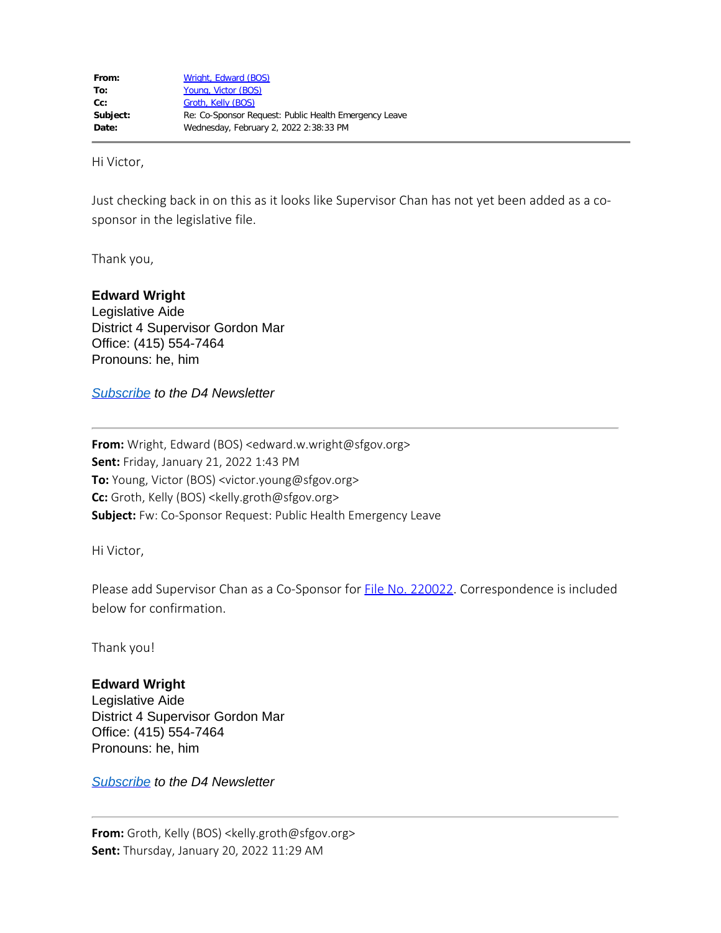Hi Victor,

Just checking back in on this as it looks like Supervisor Chan has not yet been added as a cosponsor in the legislative file.

Thank you,

## **Edward Wright**

Legislative Aide District 4 Supervisor Gordon Mar Office: (415) 554-7464 Pronouns: he, him

*[Subscribe](https://fe3815707564077d701377.pub.s10.sfmc-content.com/ojhrgyzqhfu) to the D4 Newsletter*

**From:** Wright, Edward (BOS) <edward.w.wright@sfgov.org> **Sent:** Friday, January 21, 2022 1:43 PM **To:** Young, Victor (BOS) <victor.young@sfgov.org> **Cc:** Groth, Kelly (BOS) <kelly.groth@sfgov.org> **Subject:** Fw: Co-Sponsor Request: Public Health Emergency Leave

Hi Victor,

Please add Supervisor Chan as a Co-Sponsor for **File No. 220022**. Correspondence is included below for confirmation.

Thank you!

## **Edward Wright**

Legislative Aide District 4 Supervisor Gordon Mar Office: (415) 554-7464 Pronouns: he, him

*[Subscribe](https://fe3815707564077d701377.pub.s10.sfmc-content.com/ojhrgyzqhfu) to the D4 Newsletter*

**From:** Groth, Kelly (BOS) <kelly.groth@sfgov.org> **Sent:** Thursday, January 20, 2022 11:29 AM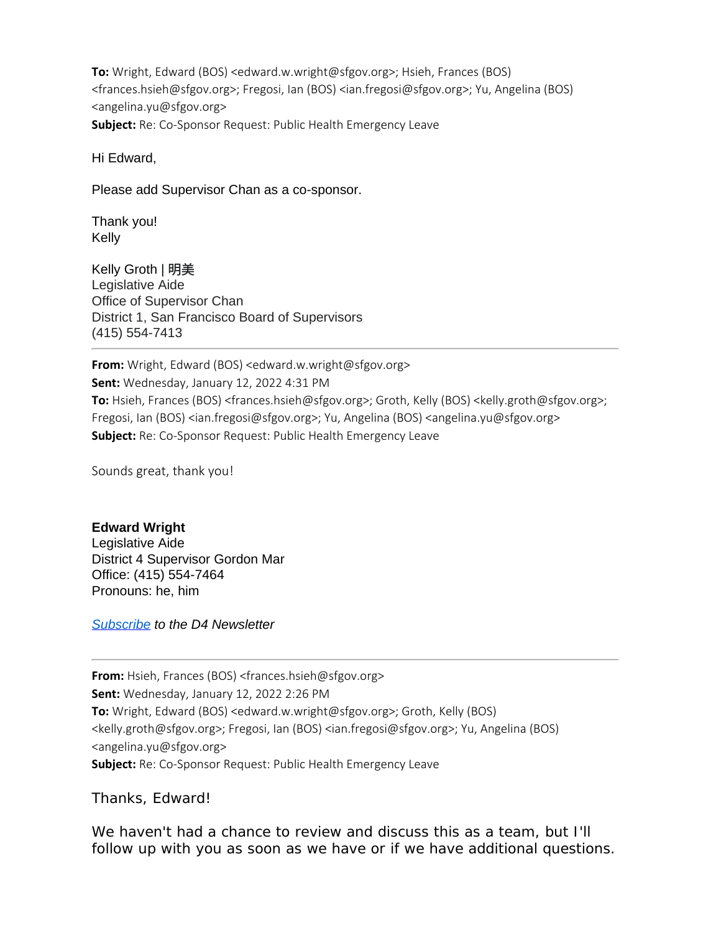**To:** Wright, Edward (BOS) <edward.w.wright@sfgov.org>; Hsieh, Frances (BOS) <frances.hsieh@sfgov.org>; Fregosi, Ian (BOS) <ian.fregosi@sfgov.org>; Yu, Angelina (BOS) <angelina.yu@sfgov.org> **Subject:** Re: Co-Sponsor Request: Public Health Emergency Leave

Hi Edward,

Please add Supervisor Chan as a co-sponsor.

Thank you! Kelly

Kelly Groth | 明美 Legislative Aide Office of Supervisor Chan District 1, San Francisco Board of Supervisors (415) 554-7413

**From:** Wright, Edward (BOS) <edward.w.wright@sfgov.org> **Sent:** Wednesday, January 12, 2022 4:31 PM **To:** Hsieh, Frances (BOS) <frances.hsieh@sfgov.org>; Groth, Kelly (BOS) <kelly.groth@sfgov.org>; Fregosi, Ian (BOS) <ian.fregosi@sfgov.org>; Yu, Angelina (BOS) <angelina.yu@sfgov.org> **Subject:** Re: Co-Sponsor Request: Public Health Emergency Leave

Sounds great, thank you!

## **Edward Wright**

Legislative Aide District 4 Supervisor Gordon Mar Office: (415) 554-7464 Pronouns: he, him

*[Subscribe](https://fe3815707564077d701377.pub.s10.sfmc-content.com/ojhrgyzqhfu) to the D4 Newsletter*

**From:** Hsieh, Frances (BOS) <frances.hsieh@sfgov.org> **Sent:** Wednesday, January 12, 2022 2:26 PM **To:** Wright, Edward (BOS) <edward.w.wright@sfgov.org>; Groth, Kelly (BOS) <kelly.groth@sfgov.org>; Fregosi, Ian (BOS) <ian.fregosi@sfgov.org>; Yu, Angelina (BOS) <angelina.yu@sfgov.org> **Subject:** Re: Co-Sponsor Request: Public Health Emergency Leave

Thanks, Edward!

We haven't had a chance to review and discuss this as a team, but I'll follow up with you as soon as we have or if we have additional questions.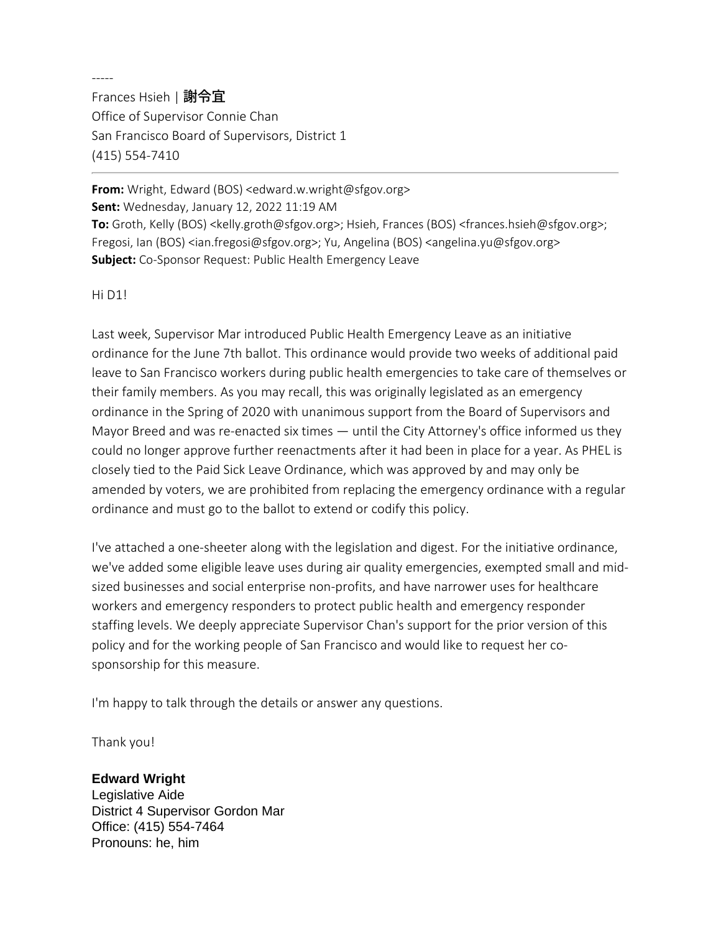-----

Frances Hsieh | 謝令宜 Office of Supervisor Connie Chan San Francisco Board of Supervisors, District 1 (415) 554-7410

**From:** Wright, Edward (BOS) <edward.w.wright@sfgov.org> **Sent:** Wednesday, January 12, 2022 11:19 AM **To:** Groth, Kelly (BOS) <kelly.groth@sfgov.org>; Hsieh, Frances (BOS) <frances.hsieh@sfgov.org>; Fregosi, Ian (BOS) <ian.fregosi@sfgov.org>; Yu, Angelina (BOS) <angelina.yu@sfgov.org> **Subject:** Co-Sponsor Request: Public Health Emergency Leave

Hi D1!

Last week, Supervisor Mar introduced Public Health Emergency Leave as an initiative ordinance for the June 7th ballot. This ordinance would provide two weeks of additional paid leave to San Francisco workers during public health emergencies to take care of themselves or their family members. As you may recall, this was originally legislated as an emergency ordinance in the Spring of 2020 with unanimous support from the Board of Supervisors and Mayor Breed and was re-enacted six times — until the City Attorney's office informed us they could no longer approve further reenactments after it had been in place for a year. As PHEL is closely tied to the Paid Sick Leave Ordinance, which was approved by and may only be amended by voters, we are prohibited from replacing the emergency ordinance with a regular ordinance and must go to the ballot to extend or codify this policy.

I've attached a one-sheeter along with the legislation and digest. For the initiative ordinance, we've added some eligible leave uses during air quality emergencies, exempted small and midsized businesses and social enterprise non-profits, and have narrower uses for healthcare workers and emergency responders to protect public health and emergency responder staffing levels. We deeply appreciate Supervisor Chan's support for the prior version of this policy and for the working people of San Francisco and would like to request her cosponsorship for this measure.

I'm happy to talk through the details or answer any questions.

Thank you!

## **Edward Wright**

Legislative Aide District 4 Supervisor Gordon Mar Office: (415) 554-7464 Pronouns: he, him